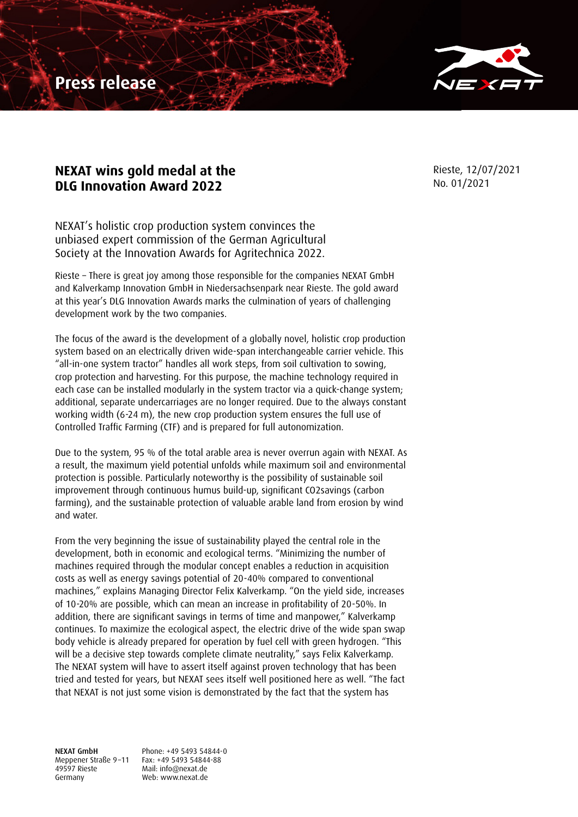**Press release**



## **NEXAT wins gold medal at the DLG Innovation Award 2022**

Rieste, 12/07/2021 No. 01/2021

NEXAT's holistic crop production system convinces the unbiased expert commission of the German Agricultural Society at the Innovation Awards for Agritechnica 2022.

Rieste – There is great joy among those responsible for the companies NEXAT GmbH and Kalverkamp Innovation GmbH in Niedersachsenpark near Rieste. The gold award at this year's DLG Innovation Awards marks the culmination of years of challenging development work by the two companies.

The focus of the award is the development of a globally novel, holistic crop production system based on an electrically driven wide-span interchangeable carrier vehicle. This "all-in-one system tractor" handles all work steps, from soil cultivation to sowing, crop protection and harvesting. For this purpose, the machine technology required in each case can be installed modularly in the system tractor via a quick-change system; additional, separate undercarriages are no longer required. Due to the always constant working width (6-24 m), the new crop production system ensures the full use of Controlled Traffic Farming (CTF) and is prepared for full autonomization.

Due to the system, 95 % of the total arable area is never overrun again with NEXAT. As a result, the maximum yield potential unfolds while maximum soil and environmental protection is possible. Particularly noteworthy is the possibility of sustainable soil improvement through continuous humus build-up, significant CO2savings (carbon farming), and the sustainable protection of valuable arable land from erosion by wind and water.

From the very beginning the issue of sustainability played the central role in the development, both in economic and ecological terms. "Minimizing the number of machines required through the modular concept enables a reduction in acquisition costs as well as energy savings potential of 20-40% compared to conventional machines," explains Managing Director Felix Kalverkamp. "On the yield side, increases of 10-20% are possible, which can mean an increase in profitability of 20-50%. In addition, there are significant savings in terms of time and manpower," Kalverkamp continues. To maximize the ecological aspect, the electric drive of the wide span swap body vehicle is already prepared for operation by fuel cell with green hydrogen. "This will be a decisive step towards complete climate neutrality," says Felix Kalverkamp. The NEXAT system will have to assert itself against proven technology that has been tried and tested for years, but NEXAT sees itself well positioned here as well. "The fact that NEXAT is not just some vision is demonstrated by the fact that the system has

NEXAT GmbH Meppener Straße 9–11 49597 Rieste Germany

Phone: +49 5493 54844-0 Fax: +49 5493 54844-88 Mail: info@nexat.de Web: www.nexat.de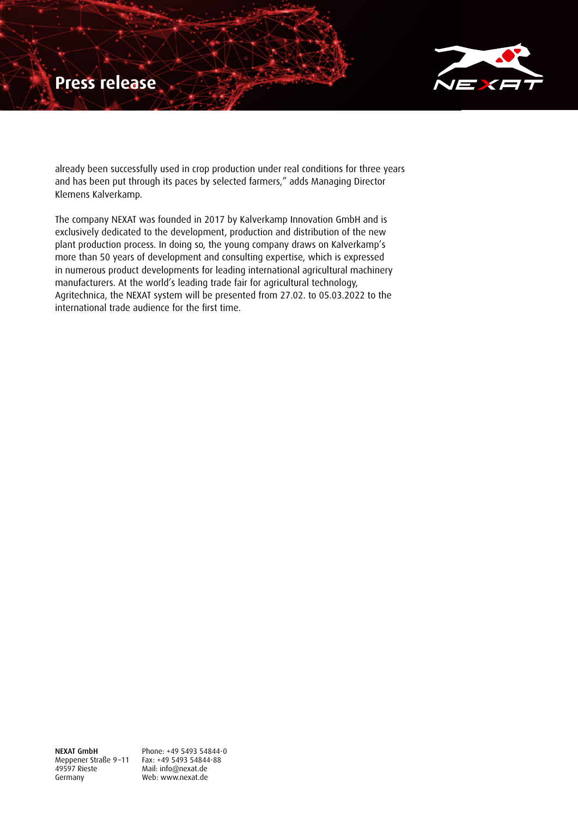## **Press release**



already been successfully used in crop production under real conditions for three years and has been put through its paces by selected farmers," adds Managing Director Klemens Kalverkamp.

The company NEXAT was founded in 2017 by Kalverkamp Innovation GmbH and is exclusively dedicated to the development, production and distribution of the new plant production process. In doing so, the young company draws on Kalverkamp's more than 50 years of development and consulting expertise, which is expressed in numerous product developments for leading international agricultural machinery manufacturers. At the world's leading trade fair for agricultural technology, Agritechnica, the NEXAT system will be presented from 27.02. to 05.03.2022 to the international trade audience for the first time.

NEXAT GmbH Meppener Straße 9–11 49597 Rieste Germany

Phone: +49 5493 54844-0 Fax: +49 5493 54844-88 Mail: info@nexat.de Web: www.nexat.de